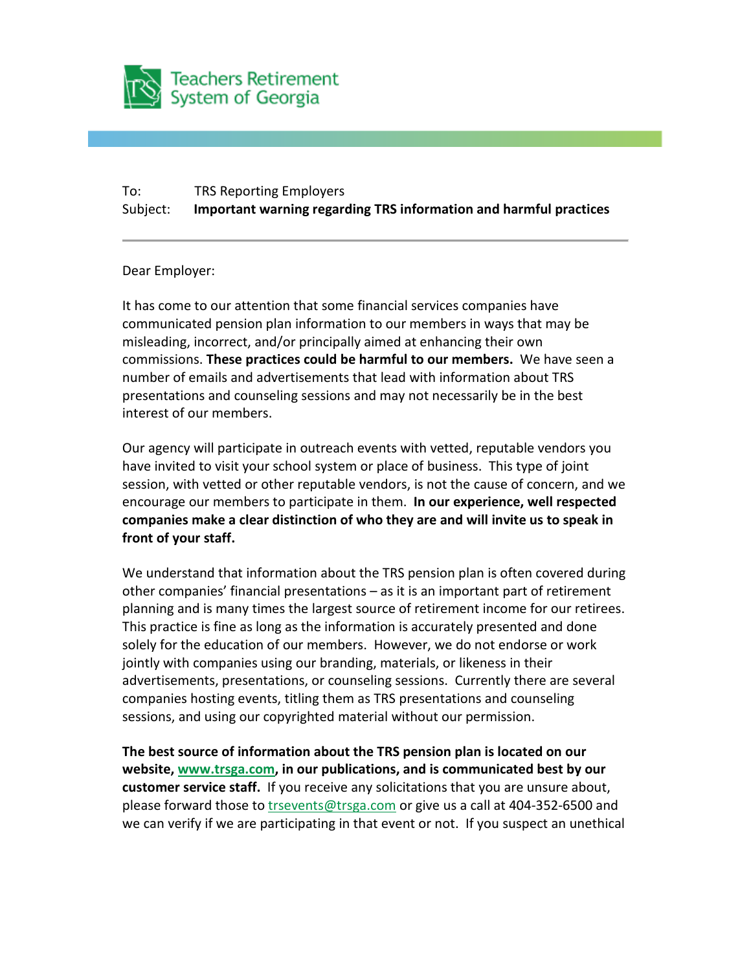

## To: TRS Reporting Employers Subject: **Important warning regarding TRS information and harmful practices**

## Dear Employer:

It has come to our attention that some financial services companies have communicated pension plan information to our members in ways that may be misleading, incorrect, and/or principally aimed at enhancing their own commissions. **These practices could be harmful to our members.** We have seen a number of emails and advertisements that lead with information about TRS presentations and counseling sessions and may not necessarily be in the best interest of our members.

Our agency will participate in outreach events with vetted, reputable vendors you have invited to visit your school system or place of business. This type of joint session, with vetted or other reputable vendors, is not the cause of concern, and we encourage our members to participate in them. **In our experience, well respected companies make a clear distinction of who they are and will invite us to speak in front of your staff.**

We understand that information about the TRS pension plan is often covered during other companies' financial presentations – as it is an important part of retirement planning and is many times the largest source of retirement income for our retirees. This practice is fine as long as the information is accurately presented and done solely for the education of our members. However, we do not endorse or work jointly with companies using our branding, materials, or likeness in their advertisements, presentations, or counseling sessions. Currently there are several companies hosting events, titling them as TRS presentations and counseling sessions, and using our copyrighted material without our permission.

**The best source of information about the TRS pension plan is located on our website, [www.trsga.com,](http://www.mmsend1.com/link.cfm?r=oSio1owsec_TZsARcVAl6w%7E%7E&pe=ZzDgTBcKA8m_pjLd15r8DL2C2T-LiEUn2qy_d1o43MiFGQ-omyLSUGWWNI18tUBZmmtWrhnOIwvMYAzCo7QhcQ%7E%7E&t=0R8xxe4ufm6zXdmapX-euQ%7E%7E) in our publications, and is communicated best by our customer service staff.** If you receive any solicitations that you are unsure about, please forward those to [trsevents@trsga.com](mailto:trsevents@trsga.com) or give us a call at 404-352-6500 and we can verify if we are participating in that event or not. If you suspect an unethical